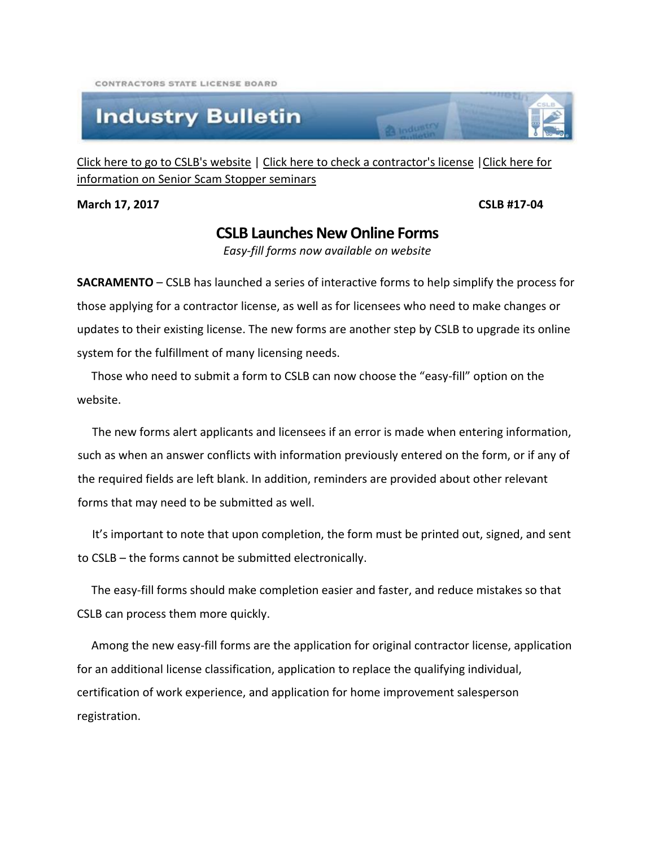CONTRACTORS STATE LICENSE BOARD

## **Industry Bulletin**

[Click here to go to CSLB's website](http://www.cslb.ca.gov/) | [Click here to check a contractor's license](http://www.checkthelicensefirst.com/) [|Click here for](http://www.seniorscamstopper.com/)  [information on Senior Scam Stopper seminars](http://www.seniorscamstopper.com/)

**March 17, 2017 CSLB #17-04** 

## **CSLB Launches New Online Forms**

**R** Industry

*Easy-fill forms now available on website*

**SACRAMENTO** – CSLB has launched a series of interactive forms to help simplify the process for those applying for a contractor license, as well as for licensees who need to make changes or updates to their existing license. The new forms are another step by CSLB to upgrade its online system for the fulfillment of many licensing needs.

 Those who need to submit a form to CSLB can now choose the "easy-fill" option on the website.

 The new forms alert applicants and licensees if an error is made when entering information, such as when an answer conflicts with information previously entered on the form, or if any of the required fields are left blank. In addition, reminders are provided about other relevant forms that may need to be submitted as well.

 It's important to note that upon completion, the form must be printed out, signed, and sent to CSLB – the forms cannot be submitted electronically.

 The easy-fill forms should make completion easier and faster, and reduce mistakes so that CSLB can process them more quickly.

 Among the new easy-fill forms are the application for original contractor license, application for an additional license classification, application to replace the qualifying individual, certification of work experience, and application for home improvement salesperson registration.